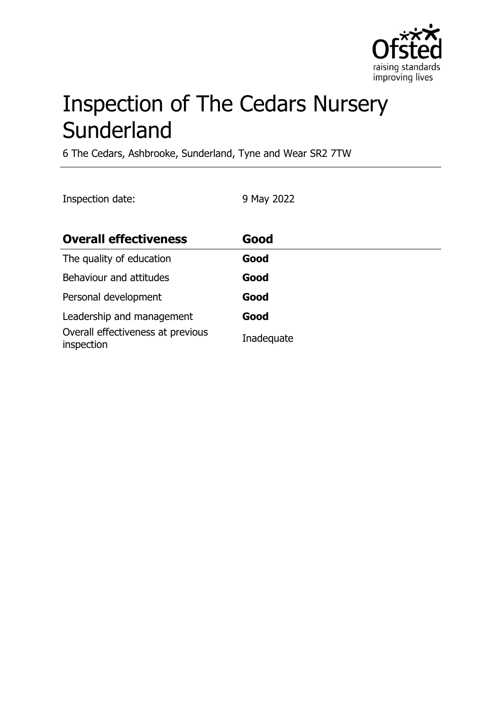

# Inspection of The Cedars Nursery **Sunderland**

6 The Cedars, Ashbrooke, Sunderland, Tyne and Wear SR2 7TW

Inspection date: 9 May 2022

| <b>Overall effectiveness</b>                    | Good       |
|-------------------------------------------------|------------|
| The quality of education                        | Good       |
| Behaviour and attitudes                         | Good       |
| Personal development                            | Good       |
| Leadership and management                       | Good       |
| Overall effectiveness at previous<br>inspection | Inadequate |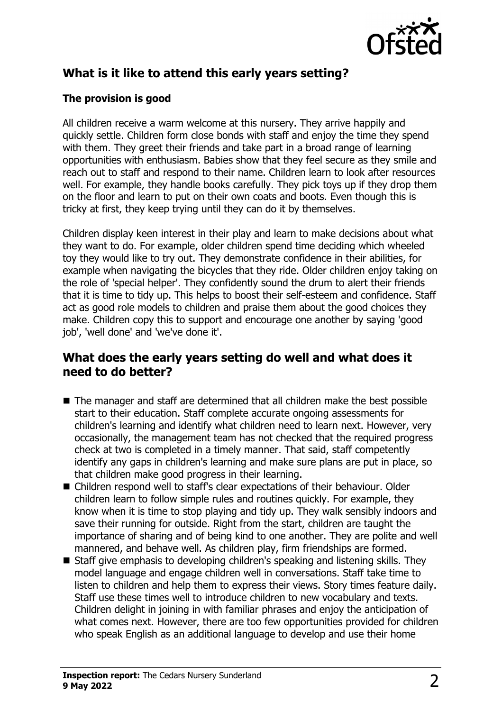

## **What is it like to attend this early years setting?**

#### **The provision is good**

All children receive a warm welcome at this nursery. They arrive happily and quickly settle. Children form close bonds with staff and enjoy the time they spend with them. They greet their friends and take part in a broad range of learning opportunities with enthusiasm. Babies show that they feel secure as they smile and reach out to staff and respond to their name. Children learn to look after resources well. For example, they handle books carefully. They pick toys up if they drop them on the floor and learn to put on their own coats and boots. Even though this is tricky at first, they keep trying until they can do it by themselves.

Children display keen interest in their play and learn to make decisions about what they want to do. For example, older children spend time deciding which wheeled toy they would like to try out. They demonstrate confidence in their abilities, for example when navigating the bicycles that they ride. Older children enjoy taking on the role of 'special helper'. They confidently sound the drum to alert their friends that it is time to tidy up. This helps to boost their self-esteem and confidence. Staff act as good role models to children and praise them about the good choices they make. Children copy this to support and encourage one another by saying 'good job', 'well done' and 'we've done it'.

### **What does the early years setting do well and what does it need to do better?**

- $\blacksquare$  The manager and staff are determined that all children make the best possible start to their education. Staff complete accurate ongoing assessments for children's learning and identify what children need to learn next. However, very occasionally, the management team has not checked that the required progress check at two is completed in a timely manner. That said, staff competently identify any gaps in children's learning and make sure plans are put in place, so that children make good progress in their learning.
- Children respond well to staff's clear expectations of their behaviour. Older children learn to follow simple rules and routines quickly. For example, they know when it is time to stop playing and tidy up. They walk sensibly indoors and save their running for outside. Right from the start, children are taught the importance of sharing and of being kind to one another. They are polite and well mannered, and behave well. As children play, firm friendships are formed.
- $\blacksquare$  Staff give emphasis to developing children's speaking and listening skills. They model language and engage children well in conversations. Staff take time to listen to children and help them to express their views. Story times feature daily. Staff use these times well to introduce children to new vocabulary and texts. Children delight in joining in with familiar phrases and enjoy the anticipation of what comes next. However, there are too few opportunities provided for children who speak English as an additional language to develop and use their home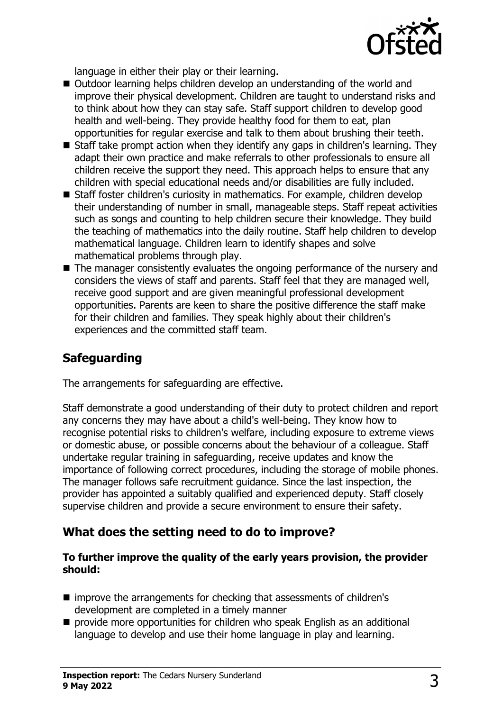

language in either their play or their learning.

- Outdoor learning helps children develop an understanding of the world and improve their physical development. Children are taught to understand risks and to think about how they can stay safe. Staff support children to develop good health and well-being. They provide healthy food for them to eat, plan opportunities for regular exercise and talk to them about brushing their teeth.
- $\blacksquare$  Staff take prompt action when they identify any gaps in children's learning. They adapt their own practice and make referrals to other professionals to ensure all children receive the support they need. This approach helps to ensure that any children with special educational needs and/or disabilities are fully included.
- Staff foster children's curiosity in mathematics. For example, children develop their understanding of number in small, manageable steps. Staff repeat activities such as songs and counting to help children secure their knowledge. They build the teaching of mathematics into the daily routine. Staff help children to develop mathematical language. Children learn to identify shapes and solve mathematical problems through play.
- $\blacksquare$  The manager consistently evaluates the ongoing performance of the nursery and considers the views of staff and parents. Staff feel that they are managed well, receive good support and are given meaningful professional development opportunities. Parents are keen to share the positive difference the staff make for their children and families. They speak highly about their children's experiences and the committed staff team.

## **Safeguarding**

The arrangements for safeguarding are effective.

Staff demonstrate a good understanding of their duty to protect children and report any concerns they may have about a child's well-being. They know how to recognise potential risks to children's welfare, including exposure to extreme views or domestic abuse, or possible concerns about the behaviour of a colleague. Staff undertake regular training in safeguarding, receive updates and know the importance of following correct procedures, including the storage of mobile phones. The manager follows safe recruitment guidance. Since the last inspection, the provider has appointed a suitably qualified and experienced deputy. Staff closely supervise children and provide a secure environment to ensure their safety.

#### **What does the setting need to do to improve?**

#### **To further improve the quality of the early years provision, the provider should:**

- $\blacksquare$  improve the arrangements for checking that assessments of children's development are completed in a timely manner
- $\blacksquare$  provide more opportunities for children who speak English as an additional language to develop and use their home language in play and learning.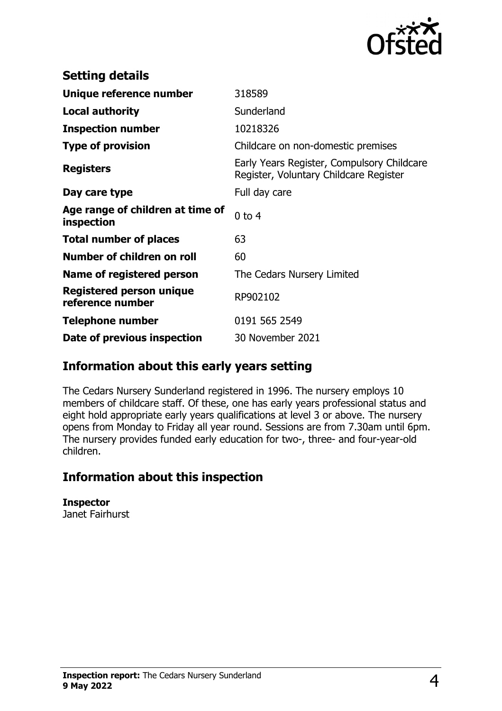

| <b>Setting details</b>                         |                                                                                      |
|------------------------------------------------|--------------------------------------------------------------------------------------|
| Unique reference number                        | 318589                                                                               |
| <b>Local authority</b>                         | Sunderland                                                                           |
| <b>Inspection number</b>                       | 10218326                                                                             |
| <b>Type of provision</b>                       | Childcare on non-domestic premises                                                   |
| <b>Registers</b>                               | Early Years Register, Compulsory Childcare<br>Register, Voluntary Childcare Register |
| Day care type                                  | Full day care                                                                        |
| Age range of children at time of<br>inspection | $0$ to $4$                                                                           |
| <b>Total number of places</b>                  | 63                                                                                   |
| Number of children on roll                     | 60                                                                                   |
| Name of registered person                      | The Cedars Nursery Limited                                                           |
| Registered person unique<br>reference number   | RP902102                                                                             |
| Telephone number                               | 0191 565 2549                                                                        |
| Date of previous inspection                    | 30 November 2021                                                                     |

## **Information about this early years setting**

The Cedars Nursery Sunderland registered in 1996. The nursery employs 10 members of childcare staff. Of these, one has early years professional status and eight hold appropriate early years qualifications at level 3 or above. The nursery opens from Monday to Friday all year round. Sessions are from 7.30am until 6pm. The nursery provides funded early education for two-, three- and four-year-old children.

## **Information about this inspection**

**Inspector** Janet Fairhurst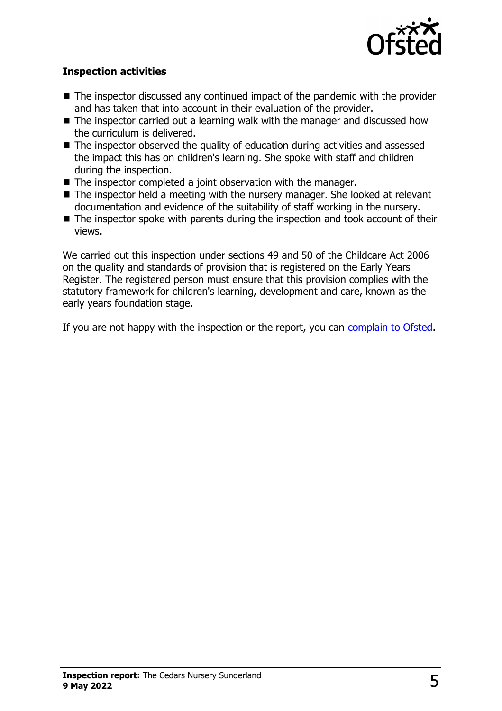

#### **Inspection activities**

- $\blacksquare$  The inspector discussed any continued impact of the pandemic with the provider and has taken that into account in their evaluation of the provider.
- $\blacksquare$  The inspector carried out a learning walk with the manager and discussed how the curriculum is delivered.
- $\blacksquare$  The inspector observed the quality of education during activities and assessed the impact this has on children's learning. She spoke with staff and children during the inspection.
- $\blacksquare$  The inspector completed a joint observation with the manager.
- $\blacksquare$  The inspector held a meeting with the nursery manager. She looked at relevant documentation and evidence of the suitability of staff working in the nursery.
- $\blacksquare$  The inspector spoke with parents during the inspection and took account of their views.

We carried out this inspection under sections 49 and 50 of the Childcare Act 2006 on the quality and standards of provision that is registered on the Early Years Register. The registered person must ensure that this provision complies with the statutory framework for children's learning, development and care, known as the early years foundation stage.

If you are not happy with the inspection or the report, you can [complain to Ofsted](http://www.gov.uk/complain-ofsted-report).